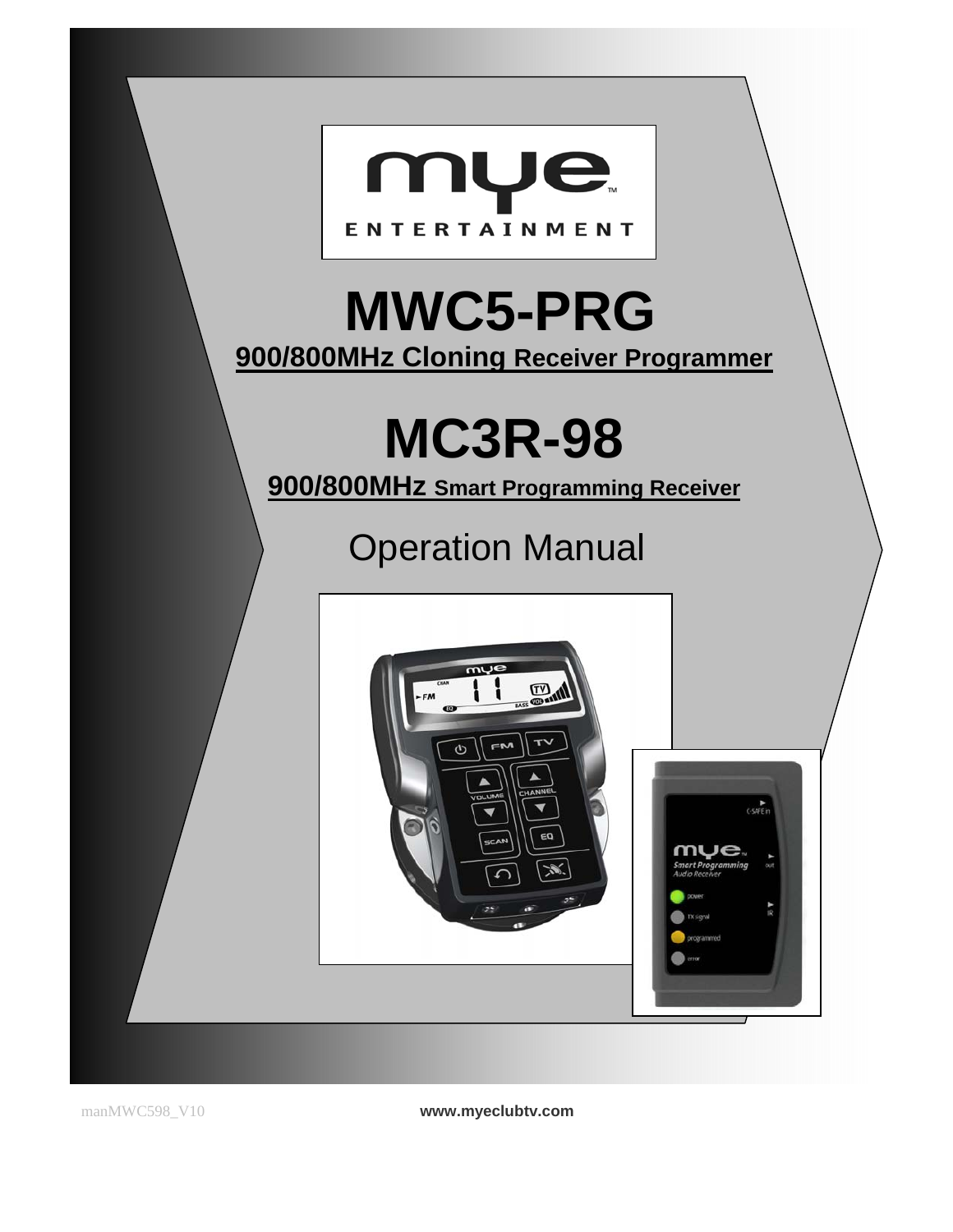

manMWC598\_V10 **www.myeclubtv.com**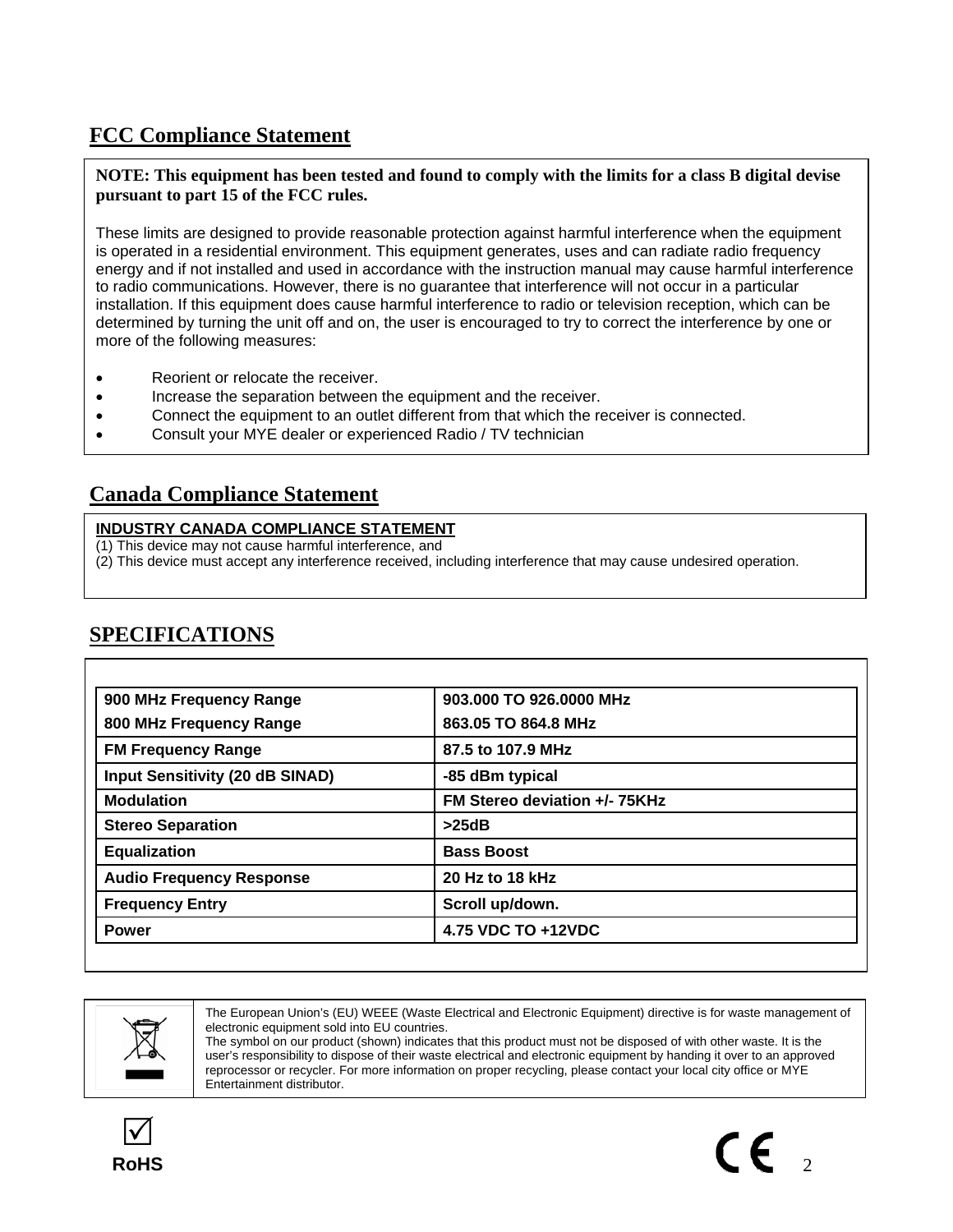# **FCC Compliance Statement**

**NOTE: This equipment has been tested and found to comply with the limits for a class B digital devise pursuant to part 15 of the FCC rules.** 

These limits are designed to provide reasonable protection against harmful interference when the equipment is operated in a residential environment. This equipment generates, uses and can radiate radio frequency energy and if not installed and used in accordance with the instruction manual may cause harmful interference to radio communications. However, there is no guarantee that interference will not occur in a particular installation. If this equipment does cause harmful interference to radio or television reception, which can be determined by turning the unit off and on, the user is encouraged to try to correct the interference by one or more of the following measures:

- Reorient or relocate the receiver.
- Increase the separation between the equipment and the receiver.
- Connect the equipment to an outlet different from that which the receiver is connected.
- Consult your MYE dealer or experienced Radio / TV technician

# **Canada Compliance Statement**

## **INDUSTRY CANADA COMPLIANCE STATEMENT**

- (1) This device may not cause harmful interference, and
- (2) This device must accept any interference received, including interference that may cause undesired operation.

# **SPECIFICATIONS**

| 900 MHz Frequency Range         | 903.000 TO 926.0000 MHz       |  |
|---------------------------------|-------------------------------|--|
| 800 MHz Frequency Range         | 863.05 TO 864.8 MHz           |  |
| <b>FM Frequency Range</b>       | 87.5 to 107.9 MHz             |  |
| Input Sensitivity (20 dB SINAD) | -85 dBm typical               |  |
| <b>Modulation</b>               | FM Stereo deviation +/- 75KHz |  |
| <b>Stereo Separation</b>        | >25dB                         |  |
| <b>Equalization</b>             | <b>Bass Boost</b>             |  |
| <b>Audio Frequency Response</b> | 20 Hz to 18 kHz               |  |
| <b>Frequency Entry</b>          | Scroll up/down.               |  |
| <b>Power</b>                    | 4.75 VDC TO +12VDC            |  |



The European Union's (EU) WEEE (Waste Electrical and Electronic Equipment) directive is for waste management of electronic equipment sold into EU countries.

The symbol on our product (shown) indicates that this product must not be disposed of with other waste. It is the user's responsibility to dispose of their waste electrical and electronic equipment by handing it over to an approved reprocessor or recycler. For more information on proper recycling, please contact your local city office or MYE Entertainment distributor.

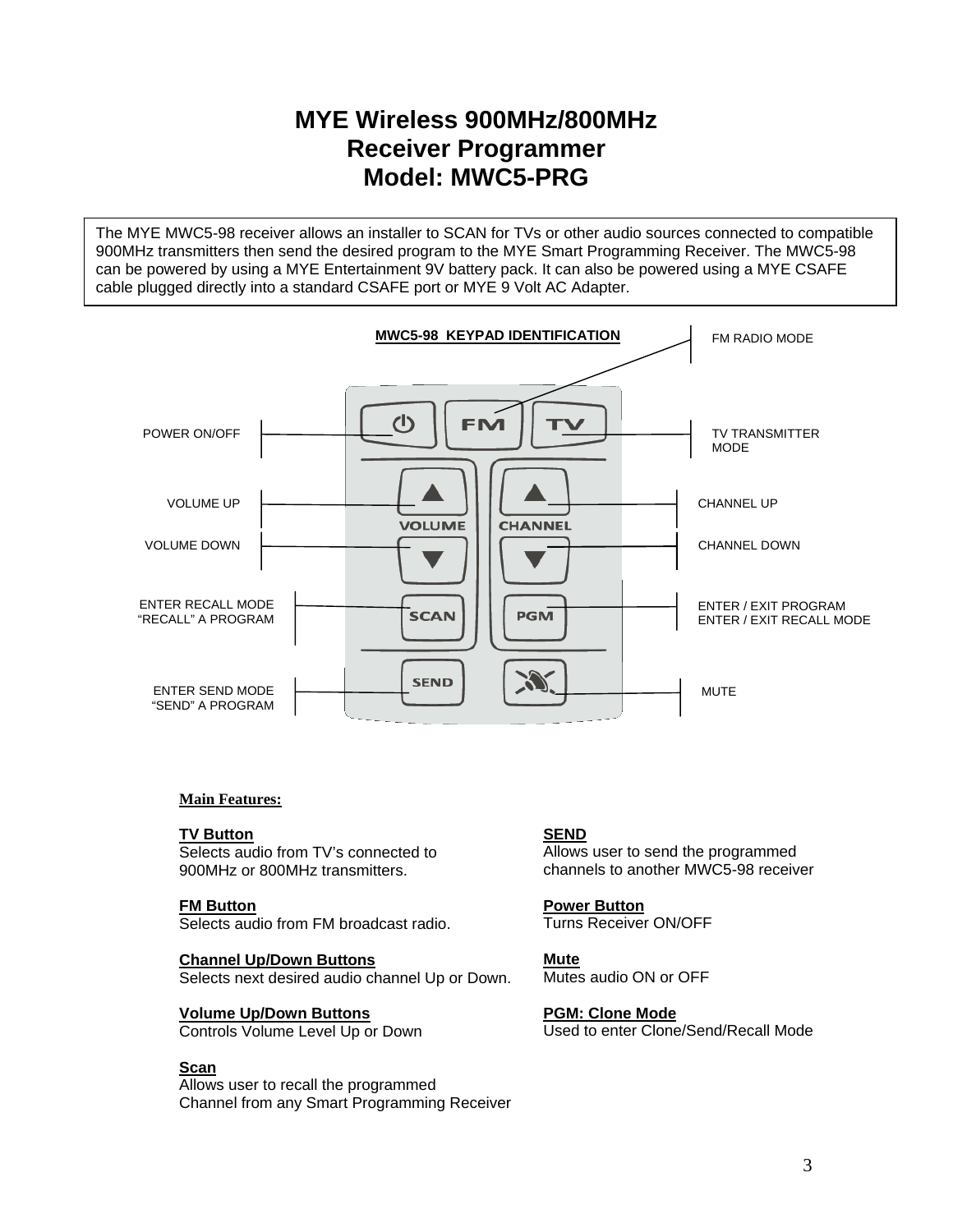# **MYE Wireless 900MHz/800MHz Receiver Programmer Model: MWC5-PRG**

The MYE MWC5-98 receiver allows an installer to SCAN for TVs or other audio sources connected to compatible 900MHz transmitters then send the desired program to the MYE Smart Programming Receiver. The MWC5-98 can be powered by using a MYE Entertainment 9V battery pack. It can also be powered using a MYE CSAFE cable plugged directly into a standard CSAFE port or MYE 9 Volt AC Adapter.



### **Main Features:**

#### **TV Button**

Selects audio from TV's connected to 900MHz or 800MHz transmitters.

### **FM Button**

Selects audio from FM broadcast radio.

#### **Channel Up/Down Buttons** Selects next desired audio channel Up or Down.

### **Volume Up/Down Buttons**

Controls Volume Level Up or Down

### **Scan**

Allows user to recall the programmed Channel from any Smart Programming Receiver

## **SEND**

Allows user to send the programmed channels to another MWC5-98 receiver

**Power Button**  Turns Receiver ON/OFF

**Mute**  Mutes audio ON or OFF

**PGM: Clone Mode** Used to enter Clone/Send/Recall Mode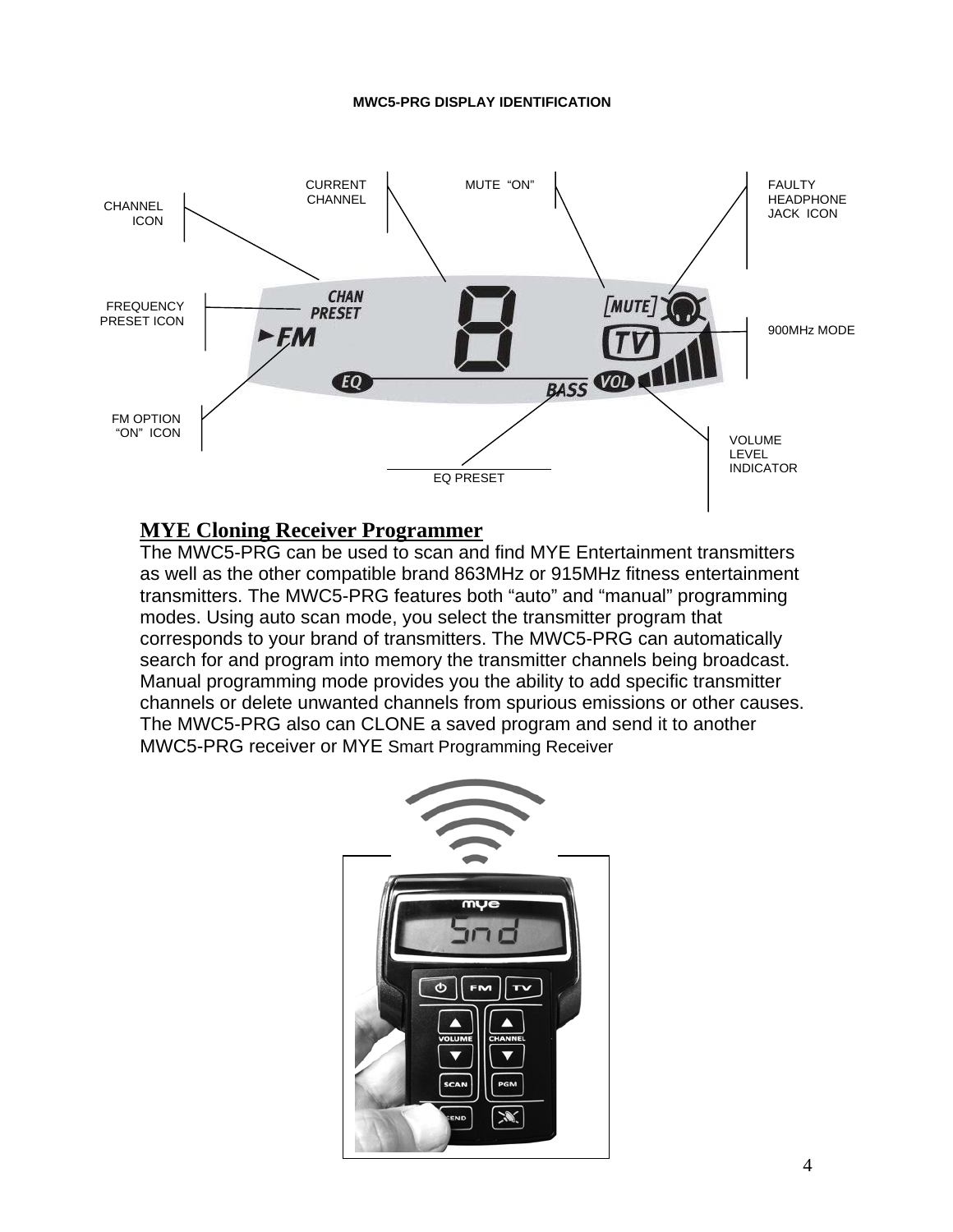#### **MWC5-PRG DISPLAY IDENTIFICATION**



## **MYE Cloning Receiver Programmer**

The MWC5-PRG can be used to scan and find MYE Entertainment transmitters as well as the other compatible brand 863MHz or 915MHz fitness entertainment transmitters. The MWC5-PRG features both "auto" and "manual" programming modes. Using auto scan mode, you select the transmitter program that corresponds to your brand of transmitters. The MWC5-PRG can automatically search for and program into memory the transmitter channels being broadcast. Manual programming mode provides you the ability to add specific transmitter channels or delete unwanted channels from spurious emissions or other causes. The MWC5-PRG also can CLONE a saved program and send it to another MWC5-PRG receiver or MYE Smart Programming Receiver

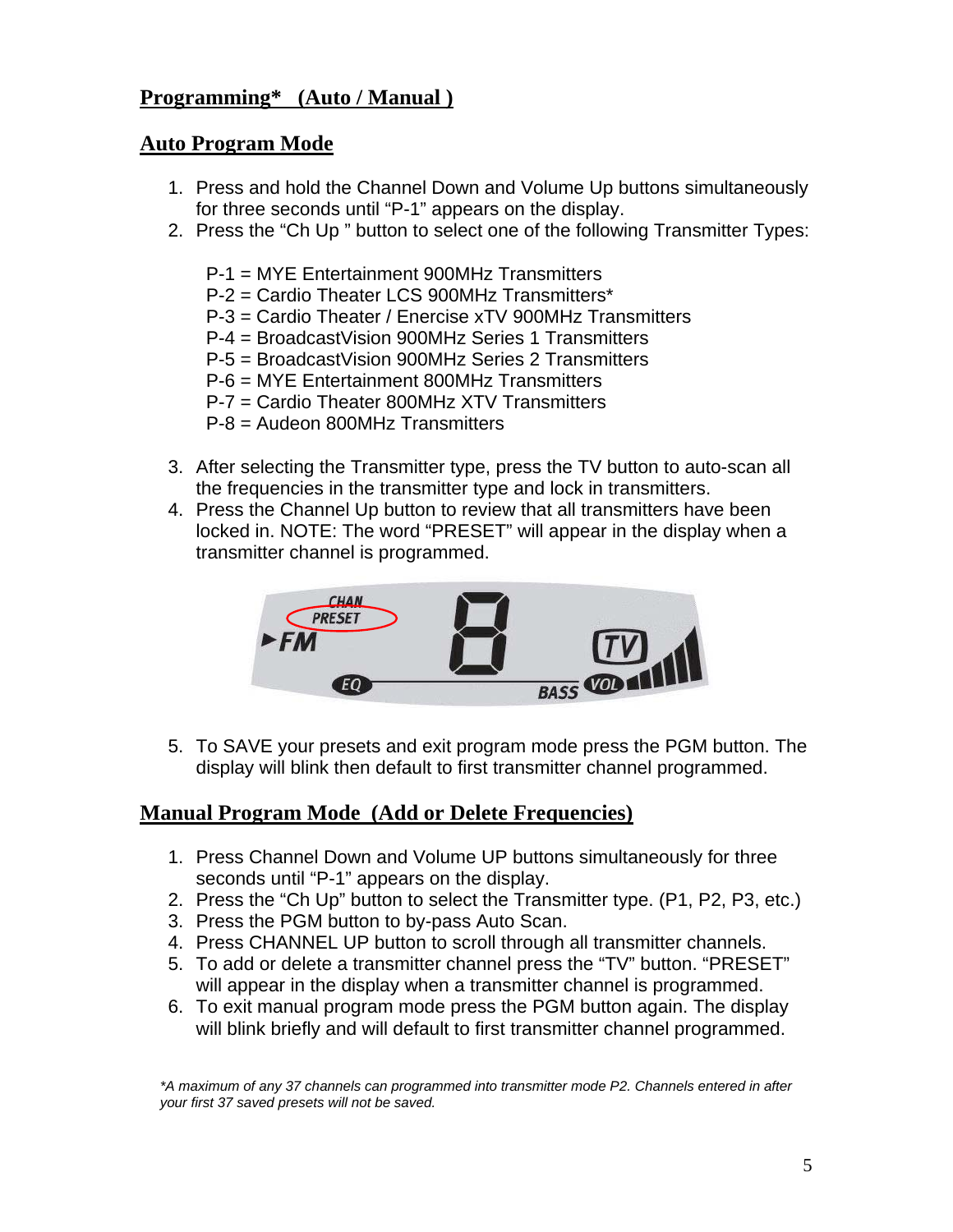# **Programming\* (Auto / Manual )**

# **Auto Program Mode**

- 1. Press and hold the Channel Down and Volume Up buttons simultaneously for three seconds until "P-1" appears on the display.
- 2. Press the "Ch Up " button to select one of the following Transmitter Types:
	- P-1 = MYE Entertainment 900MHz Transmitters
	- P-2 = Cardio Theater LCS 900MHz Transmitters\*
	- P-3 = Cardio Theater / Enercise xTV 900MHz Transmitters
	- P-4 = BroadcastVision 900MHz Series 1 Transmitters
	- P-5 = BroadcastVision 900MHz Series 2 Transmitters
	- P-6 = MYE Entertainment 800MHz Transmitters
	- P-7 = Cardio Theater 800MHz XTV Transmitters
	- P-8 = Audeon 800MHz Transmitters
- 3. After selecting the Transmitter type, press the TV button to auto-scan all the frequencies in the transmitter type and lock in transmitters.
- 4. Press the Channel Up button to review that all transmitters have been locked in. NOTE: The word "PRESET" will appear in the display when a transmitter channel is programmed.



5. To SAVE your presets and exit program mode press the PGM button. The display will blink then default to first transmitter channel programmed.

# **Manual Program Mode (Add or Delete Frequencies)**

- 1. Press Channel Down and Volume UP buttons simultaneously for three seconds until "P-1" appears on the display.
- 2. Press the "Ch Up" button to select the Transmitter type. (P1, P2, P3, etc.)
- 3. Press the PGM button to by-pass Auto Scan.
- 4. Press CHANNEL UP button to scroll through all transmitter channels.
- 5. To add or delete a transmitter channel press the "TV" button. "PRESET" will appear in the display when a transmitter channel is programmed.
- 6. To exit manual program mode press the PGM button again. The display will blink briefly and will default to first transmitter channel programmed.

*\*A maximum of any 37 channels can programmed into transmitter mode P2. Channels entered in after your first 37 saved presets will not be saved.*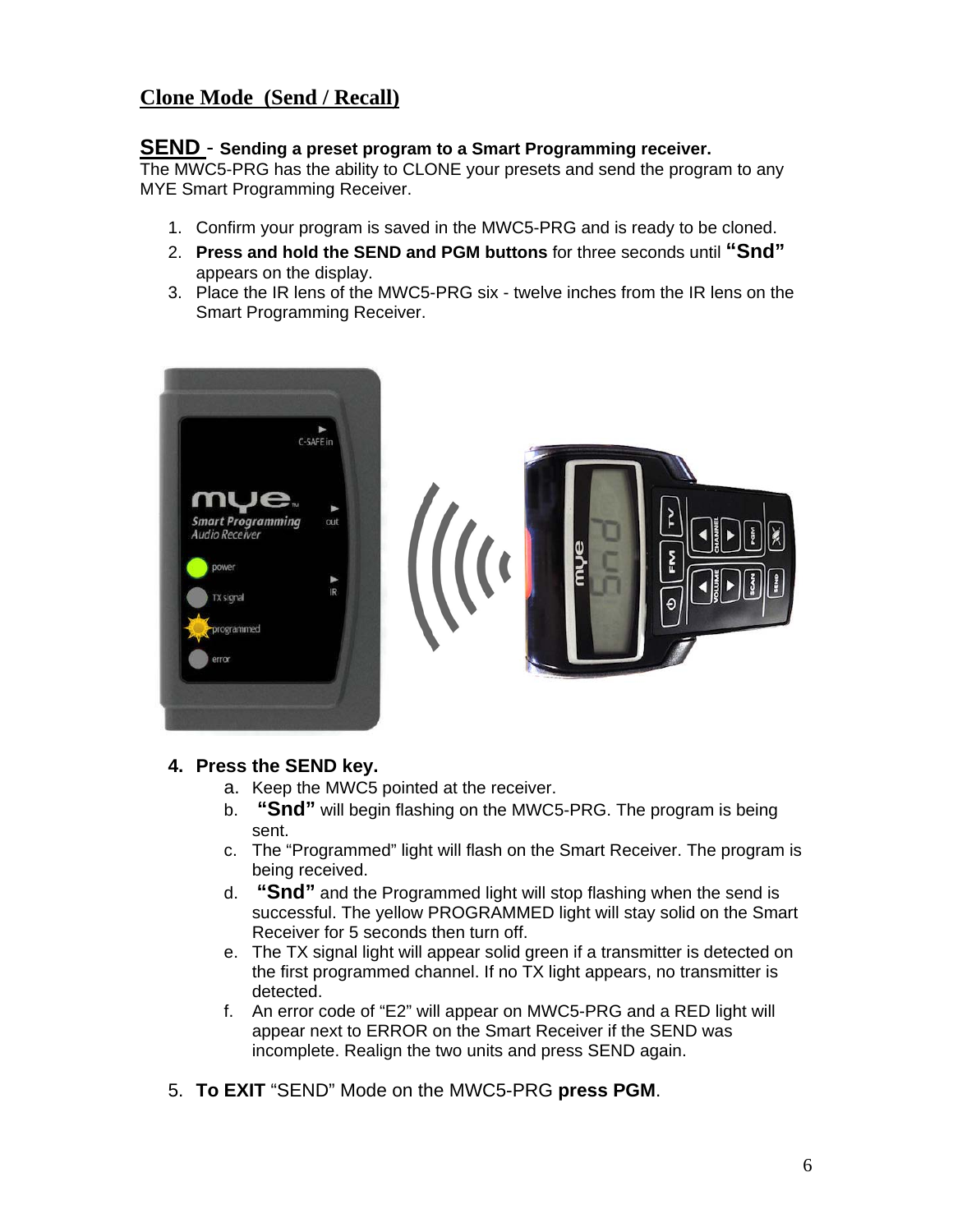# **Clone Mode (Send / Recall)**

## **SEND** - **Sending a preset program to a Smart Programming receiver.**

The MWC5-PRG has the ability to CLONE your presets and send the program to any MYE Smart Programming Receiver.

- 1. Confirm your program is saved in the MWC5-PRG and is ready to be cloned.
- 2. **Press and hold the SEND and PGM buttons** for three seconds until **"Snd"** appears on the display.
- 3. Place the IR lens of the MWC5-PRG six twelve inches from the IR lens on the Smart Programming Receiver.



## **4. Press the SEND key.**

- a. Keep the MWC5 pointed at the receiver.
- b. **"Snd"** will begin flashing on the MWC5-PRG. The program is being sent.
- c. The "Programmed" light will flash on the Smart Receiver. The program is being received.
- d. **"Snd"** and the Programmed light will stop flashing when the send is successful. The yellow PROGRAMMED light will stay solid on the Smart Receiver for 5 seconds then turn off.
- e. The TX signal light will appear solid green if a transmitter is detected on the first programmed channel. If no TX light appears, no transmitter is detected.
- f. An error code of "E2" will appear on MWC5-PRG and a RED light will appear next to ERROR on the Smart Receiver if the SEND was incomplete. Realign the two units and press SEND again.
- 5. **To EXIT** "SEND" Mode on the MWC5-PRG **press PGM**.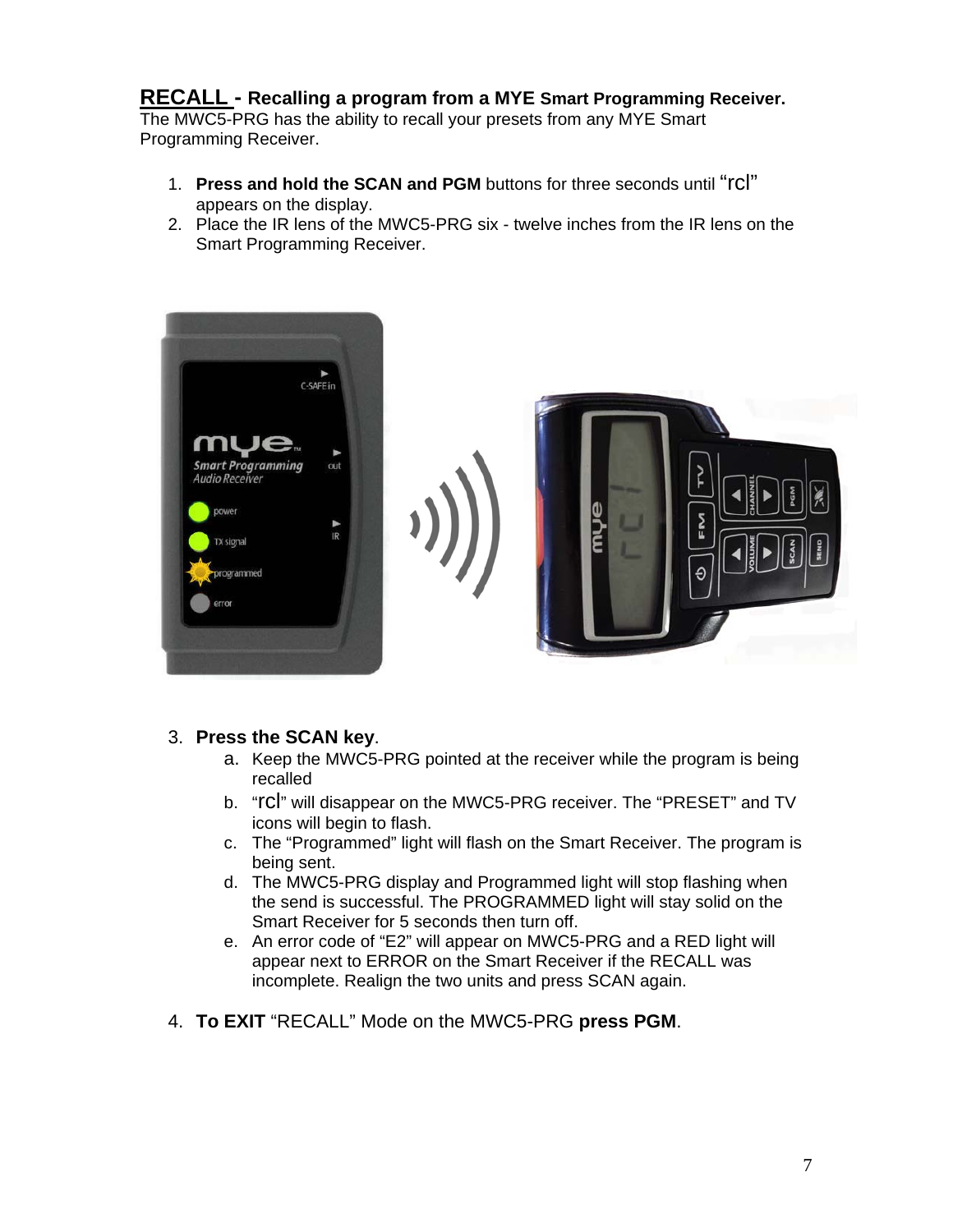# **RECALL - Recalling a program from a MYE Smart Programming Receiver.**

The MWC5-PRG has the ability to recall your presets from any MYE Smart Programming Receiver.

- 1. **Press and hold the SCAN and PGM** buttons for three seconds until "rcl" appears on the display.
- 2. Place the IR lens of the MWC5-PRG six twelve inches from the IR lens on the Smart Programming Receiver.



## 3. **Press the SCAN key**.

- a. Keep the MWC5-PRG pointed at the receiver while the program is being recalled
- b. "rcl" will disappear on the MWC5-PRG receiver. The "PRESET" and TV icons will begin to flash.
- c. The "Programmed" light will flash on the Smart Receiver. The program is being sent.
- d. The MWC5-PRG display and Programmed light will stop flashing when the send is successful. The PROGRAMMED light will stay solid on the Smart Receiver for 5 seconds then turn off.
- e. An error code of "E2" will appear on MWC5-PRG and a RED light will appear next to ERROR on the Smart Receiver if the RECALL was incomplete. Realign the two units and press SCAN again.
- 4. **To EXIT** "RECALL" Mode on the MWC5-PRG **press PGM**.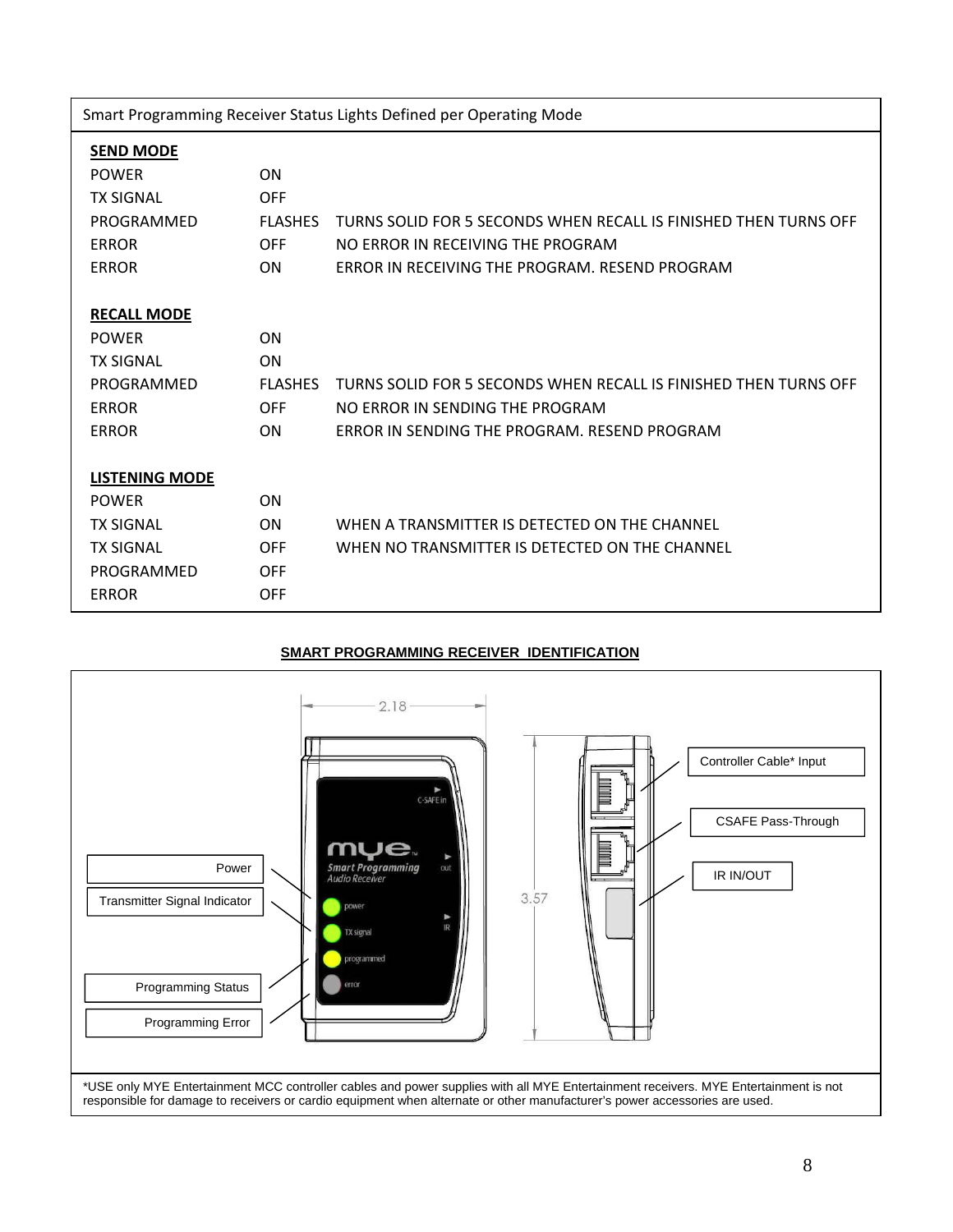|  | Smart Programming Receiver Status Lights Defined per Operating Mode |  |
|--|---------------------------------------------------------------------|--|
|  |                                                                     |  |
|  |                                                                     |  |

| <b>SEND MODE</b> |
|------------------|
|                  |

| <b>POWER</b><br>ON<br><b>TX SIGNAL</b><br><b>OFF</b><br>PROGRAMMED<br><b>FLASHES</b><br>TURNS SOLID FOR 5 SECONDS WHEN RECALL IS FINISHED THEN TURNS OFF<br><b>FRROR</b><br><b>OFF</b><br>NO FRROR IN RECEIVING THE PROGRAM<br><b>ERROR</b><br>ON<br>FRROR IN RECEIVING THE PROGRAM. RESEND PROGRAM<br><b>RECALL MODE</b><br>ON<br><b>POWFR</b><br><b>TX SIGNAL</b><br><b>ON</b><br>TURNS SOLID FOR 5 SECONDS WHEN RECALL IS FINISHED THEN TURNS OFF<br>PROGRAMMED<br><b>FLASHES</b><br><b>ERROR</b><br><b>OFF</b><br>NO FRROR IN SENDING THE PROGRAM<br>ERROR IN SENDING THE PROGRAM. RESEND PROGRAM<br><b>ERROR</b><br><b>ON</b> |
|------------------------------------------------------------------------------------------------------------------------------------------------------------------------------------------------------------------------------------------------------------------------------------------------------------------------------------------------------------------------------------------------------------------------------------------------------------------------------------------------------------------------------------------------------------------------------------------------------------------------------------|
|                                                                                                                                                                                                                                                                                                                                                                                                                                                                                                                                                                                                                                    |
|                                                                                                                                                                                                                                                                                                                                                                                                                                                                                                                                                                                                                                    |
|                                                                                                                                                                                                                                                                                                                                                                                                                                                                                                                                                                                                                                    |
|                                                                                                                                                                                                                                                                                                                                                                                                                                                                                                                                                                                                                                    |
|                                                                                                                                                                                                                                                                                                                                                                                                                                                                                                                                                                                                                                    |
|                                                                                                                                                                                                                                                                                                                                                                                                                                                                                                                                                                                                                                    |
|                                                                                                                                                                                                                                                                                                                                                                                                                                                                                                                                                                                                                                    |
|                                                                                                                                                                                                                                                                                                                                                                                                                                                                                                                                                                                                                                    |
|                                                                                                                                                                                                                                                                                                                                                                                                                                                                                                                                                                                                                                    |
|                                                                                                                                                                                                                                                                                                                                                                                                                                                                                                                                                                                                                                    |
|                                                                                                                                                                                                                                                                                                                                                                                                                                                                                                                                                                                                                                    |
|                                                                                                                                                                                                                                                                                                                                                                                                                                                                                                                                                                                                                                    |
|                                                                                                                                                                                                                                                                                                                                                                                                                                                                                                                                                                                                                                    |
| <b>LISTENING MODE</b>                                                                                                                                                                                                                                                                                                                                                                                                                                                                                                                                                                                                              |
| <b>POWER</b><br><b>ON</b>                                                                                                                                                                                                                                                                                                                                                                                                                                                                                                                                                                                                          |
| WHEN A TRANSMITTER IS DETECTED ON THE CHANNEL<br><b>TX SIGNAL</b><br>ON                                                                                                                                                                                                                                                                                                                                                                                                                                                                                                                                                            |
| <b>TX SIGNAL</b><br><b>OFF</b><br>WHEN NO TRANSMITTER IS DETECTED ON THE CHANNEL                                                                                                                                                                                                                                                                                                                                                                                                                                                                                                                                                   |
| PROGRAMMED<br><b>OFF</b>                                                                                                                                                                                                                                                                                                                                                                                                                                                                                                                                                                                                           |
| <b>OFF</b><br><b>ERROR</b>                                                                                                                                                                                                                                                                                                                                                                                                                                                                                                                                                                                                         |

## **SMART PROGRAMMING RECEIVER IDENTIFICATION**

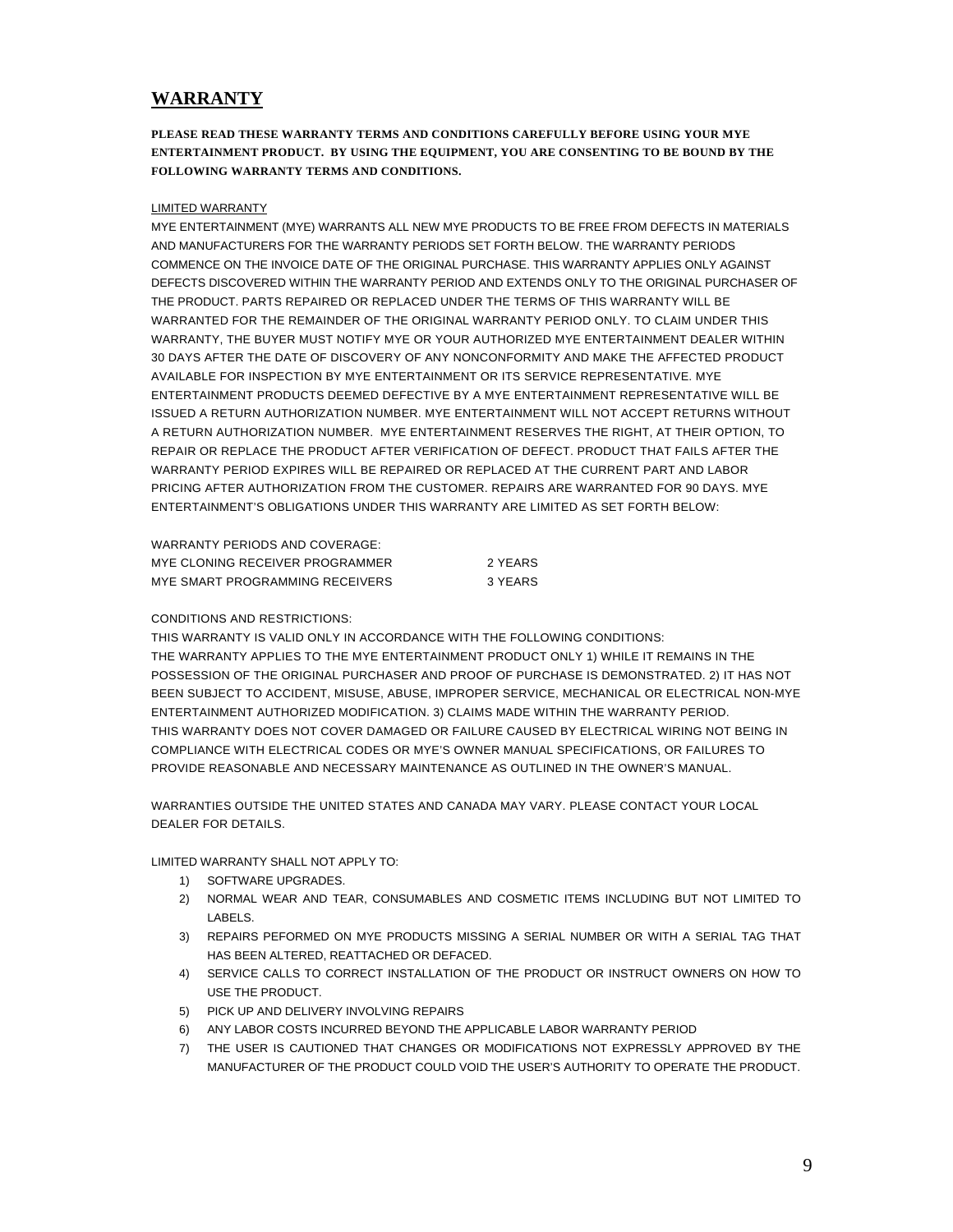## **WARRANTY**

**PLEASE READ THESE WARRANTY TERMS AND CONDITIONS CAREFULLY BEFORE USING YOUR MYE ENTERTAINMENT PRODUCT. BY USING THE EQUIPMENT, YOU ARE CONSENTING TO BE BOUND BY THE FOLLOWING WARRANTY TERMS AND CONDITIONS.** 

#### LIMITED WARRANTY

MYE ENTERTAINMENT (MYE) WARRANTS ALL NEW MYE PRODUCTS TO BE FREE FROM DEFECTS IN MATERIALS AND MANUFACTURERS FOR THE WARRANTY PERIODS SET FORTH BELOW. THE WARRANTY PERIODS COMMENCE ON THE INVOICE DATE OF THE ORIGINAL PURCHASE. THIS WARRANTY APPLIES ONLY AGAINST DEFECTS DISCOVERED WITHIN THE WARRANTY PERIOD AND EXTENDS ONLY TO THE ORIGINAL PURCHASER OF THE PRODUCT. PARTS REPAIRED OR REPLACED UNDER THE TERMS OF THIS WARRANTY WILL BE WARRANTED FOR THE REMAINDER OF THE ORIGINAL WARRANTY PERIOD ONLY. TO CLAIM UNDER THIS WARRANTY, THE BUYER MUST NOTIFY MYE OR YOUR AUTHORIZED MYE ENTERTAINMENT DEALER WITHIN 30 DAYS AFTER THE DATE OF DISCOVERY OF ANY NONCONFORMITY AND MAKE THE AFFECTED PRODUCT AVAILABLE FOR INSPECTION BY MYE ENTERTAINMENT OR ITS SERVICE REPRESENTATIVE. MYE ENTERTAINMENT PRODUCTS DEEMED DEFECTIVE BY A MYE ENTERTAINMENT REPRESENTATIVE WILL BE ISSUED A RETURN AUTHORIZATION NUMBER. MYE ENTERTAINMENT WILL NOT ACCEPT RETURNS WITHOUT A RETURN AUTHORIZATION NUMBER. MYE ENTERTAINMENT RESERVES THE RIGHT, AT THEIR OPTION, TO REPAIR OR REPLACE THE PRODUCT AFTER VERIFICATION OF DEFECT. PRODUCT THAT FAILS AFTER THE WARRANTY PERIOD EXPIRES WILL BE REPAIRED OR REPLACED AT THE CURRENT PART AND LABOR PRICING AFTER AUTHORIZATION FROM THE CUSTOMER. REPAIRS ARE WARRANTED FOR 90 DAYS. MYE ENTERTAINMENT'S OBLIGATIONS UNDER THIS WARRANTY ARE LIMITED AS SET FORTH BELOW:

| WARRANTY PERIODS AND COVERAGE:  |         |
|---------------------------------|---------|
| MYE CLONING RECEIVER PROGRAMMER | 2 YEARS |
| MYE SMART PROGRAMMING RECEIVERS | 3 YEARS |

#### CONDITIONS AND RESTRICTIONS:

THIS WARRANTY IS VALID ONLY IN ACCORDANCE WITH THE FOLLOWING CONDITIONS: THE WARRANTY APPLIES TO THE MYE ENTERTAINMENT PRODUCT ONLY 1) WHILE IT REMAINS IN THE POSSESSION OF THE ORIGINAL PURCHASER AND PROOF OF PURCHASE IS DEMONSTRATED. 2) IT HAS NOT BEEN SUBJECT TO ACCIDENT, MISUSE, ABUSE, IMPROPER SERVICE, MECHANICAL OR ELECTRICAL NON-MYE ENTERTAINMENT AUTHORIZED MODIFICATION. 3) CLAIMS MADE WITHIN THE WARRANTY PERIOD. THIS WARRANTY DOES NOT COVER DAMAGED OR FAILURE CAUSED BY ELECTRICAL WIRING NOT BEING IN COMPLIANCE WITH ELECTRICAL CODES OR MYE'S OWNER MANUAL SPECIFICATIONS, OR FAILURES TO PROVIDE REASONABLE AND NECESSARY MAINTENANCE AS OUTLINED IN THE OWNER'S MANUAL.

WARRANTIES OUTSIDE THE UNITED STATES AND CANADA MAY VARY. PLEASE CONTACT YOUR LOCAL DEALER FOR DETAILS.

LIMITED WARRANTY SHALL NOT APPLY TO:

- 1) SOFTWARE UPGRADES.
- 2) NORMAL WEAR AND TEAR, CONSUMABLES AND COSMETIC ITEMS INCLUDING BUT NOT LIMITED TO LABELS.
- 3) REPAIRS PEFORMED ON MYE PRODUCTS MISSING A SERIAL NUMBER OR WITH A SERIAL TAG THAT HAS BEEN ALTERED, REATTACHED OR DEFACED.
- 4) SERVICE CALLS TO CORRECT INSTALLATION OF THE PRODUCT OR INSTRUCT OWNERS ON HOW TO USE THE PRODUCT.
- 5) PICK UP AND DELIVERY INVOLVING REPAIRS
- 6) ANY LABOR COSTS INCURRED BEYOND THE APPLICABLE LABOR WARRANTY PERIOD
- 7) THE USER IS CAUTIONED THAT CHANGES OR MODIFICATIONS NOT EXPRESSLY APPROVED BY THE MANUFACTURER OF THE PRODUCT COULD VOID THE USER'S AUTHORITY TO OPERATE THE PRODUCT.